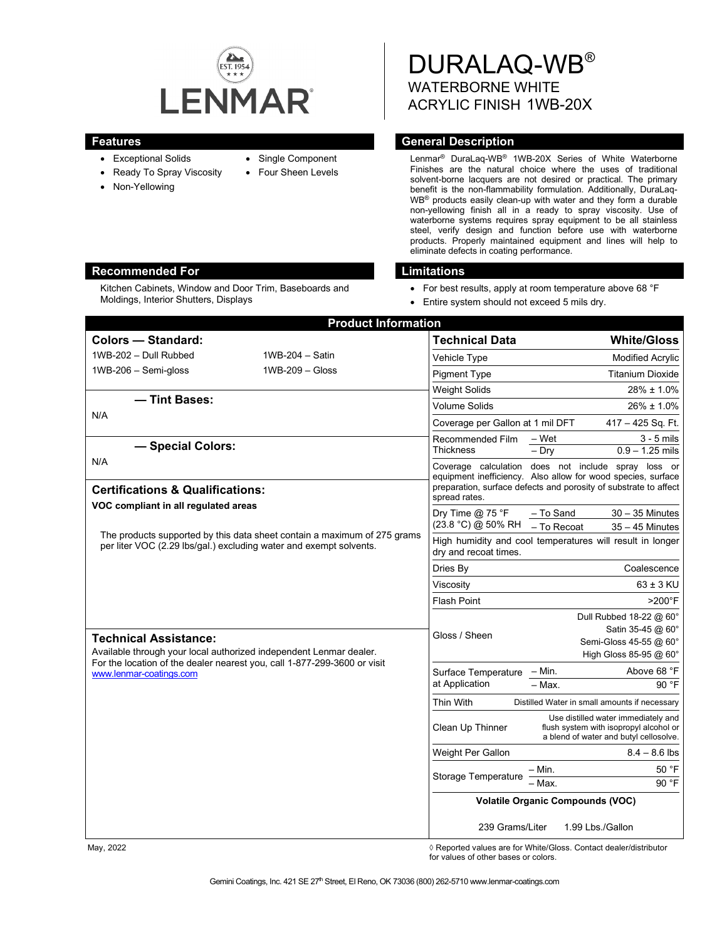

- 
- Ready To Spray Viscosity

Moldings, Interior Shutters, Displays

• Non-Yellowing

Kitchen Cabinets, Window and Door Trim, Baseboards and

• Exceptional Solids

• Single Component

• Four Sheen Levels

DURALAQ-WB® WATERBORNE WHITE ACRYLIC FINISH 1WB-20X

## **Features General Description**

Lenmar® DuraLaq-WB® 1WB-20X Series of White Waterborne Finishes are the natural choice where the uses of traditional solvent-borne lacquers are not desired or practical. The primary benefit is the non-flammability formulation. Additionally, DuraLaq-WB® products easily clean-up with water and they form a durable non-yellowing finish all in a ready to spray viscosity. Use of waterborne systems requires spray equipment to be all stainless steel, verify design and function before use with waterborne products. Properly maintained equipment and lines will help to eliminate defects in coating performance.

#### **Recommended For Limitations**

- For best results, apply at room temperature above 68 °F
- Entire system should not exceed 5 mils dry.

| <b>Product Information</b>                                                                                                                                                             |                   |                                                                                                                                                   |                                                                                                                         |
|----------------------------------------------------------------------------------------------------------------------------------------------------------------------------------------|-------------------|---------------------------------------------------------------------------------------------------------------------------------------------------|-------------------------------------------------------------------------------------------------------------------------|
| Colors - Standard:                                                                                                                                                                     |                   | <b>Technical Data</b>                                                                                                                             | <b>White/Gloss</b>                                                                                                      |
| 1WB-202 - Dull Rubbed                                                                                                                                                                  | 1WB-204 - Satin   | Vehicle Type                                                                                                                                      | Modified Acrylic                                                                                                        |
| $1WB-206 - Semi-gloss$                                                                                                                                                                 | $1WB-209 - Glass$ | <b>Pigment Type</b>                                                                                                                               | <b>Titanium Dioxide</b>                                                                                                 |
|                                                                                                                                                                                        |                   | <b>Weight Solids</b>                                                                                                                              | 28% ± 1.0%                                                                                                              |
| - Tint Bases:<br>N/A                                                                                                                                                                   |                   | <b>Volume Solids</b>                                                                                                                              | $26\% \pm 1.0\%$                                                                                                        |
|                                                                                                                                                                                        |                   | Coverage per Gallon at 1 mil DFT                                                                                                                  | $417 - 425$ Sq. Ft.                                                                                                     |
| - Special Colors:                                                                                                                                                                      |                   | Recommended Film<br><b>Thickness</b>                                                                                                              | – Wet<br>$3 - 5$ mils<br>$-$ Dry<br>$0.9 - 1.25$ mils                                                                   |
| N/A                                                                                                                                                                                    |                   |                                                                                                                                                   | Coverage calculation does not include spray loss or                                                                     |
| <b>Certifications &amp; Qualifications:</b>                                                                                                                                            |                   | equipment inefficiency. Also allow for wood species, surface<br>preparation, surface defects and porosity of substrate to affect<br>spread rates. |                                                                                                                         |
| VOC compliant in all regulated areas<br>The products supported by this data sheet contain a maximum of 275 grams<br>per liter VOC (2.29 lbs/gal.) excluding water and exempt solvents. |                   | Dry Time $@$ 75 °F<br>(23.8 °C) @ 50% RH                                                                                                          | - To Sand<br>$30 - 35$ Minutes<br>- To Recoat<br>$35 - 45$ Minutes                                                      |
|                                                                                                                                                                                        |                   | High humidity and cool temperatures will result in longer<br>dry and recoat times.                                                                |                                                                                                                         |
|                                                                                                                                                                                        |                   | Dries By                                                                                                                                          | Coalescence                                                                                                             |
|                                                                                                                                                                                        |                   | Viscosity                                                                                                                                         | $63 \pm 3$ KU                                                                                                           |
|                                                                                                                                                                                        |                   | <b>Flash Point</b>                                                                                                                                | $>200^\circ F$                                                                                                          |
|                                                                                                                                                                                        |                   |                                                                                                                                                   | Dull Rubbed 18-22 @ 60°<br>Satin 35-45 @ 60°                                                                            |
| <b>Technical Assistance:</b>                                                                                                                                                           |                   | Gloss / Sheen                                                                                                                                     | Semi-Gloss 45-55 @ 60°                                                                                                  |
| Available through your local authorized independent Lenmar dealer.<br>For the location of the dealer nearest you, call 1-877-299-3600 or visit                                         |                   |                                                                                                                                                   | High Gloss 85-95 @ 60°                                                                                                  |
| www.lenmar-coatings.com                                                                                                                                                                |                   | Surface Temperature                                                                                                                               | Above 68 °F<br>– Min.                                                                                                   |
|                                                                                                                                                                                        |                   | at Application                                                                                                                                    | $-$ Max.<br>$90°$ F                                                                                                     |
|                                                                                                                                                                                        |                   | <b>Thin With</b>                                                                                                                                  | Distilled Water in small amounts if necessary                                                                           |
|                                                                                                                                                                                        |                   | Clean Up Thinner                                                                                                                                  | Use distilled water immediately and<br>flush system with isopropyl alcohol or<br>a blend of water and butyl cellosolve. |
|                                                                                                                                                                                        |                   | Weight Per Gallon                                                                                                                                 | $8.4 - 8.6$ lbs                                                                                                         |
|                                                                                                                                                                                        |                   | Storage Temperature                                                                                                                               | 50 °F<br>– Min.                                                                                                         |
|                                                                                                                                                                                        |                   |                                                                                                                                                   | 90 °F<br>- Max.                                                                                                         |
|                                                                                                                                                                                        |                   | <b>Volatile Organic Compounds (VOC)</b>                                                                                                           |                                                                                                                         |
|                                                                                                                                                                                        |                   | 239 Grams/Liter<br>1.99 Lbs./Gallon                                                                                                               |                                                                                                                         |

May, 2022 *May, 2022 Reported values are for White/Gloss. Contact dealer/distributor* for values of other bases or colors.